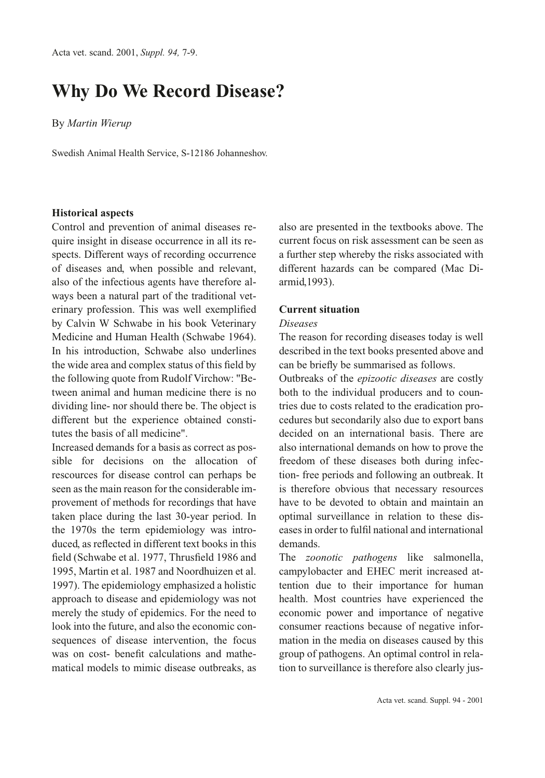# **Why Do We Record Disease?**

By *Martin Wierup*

Swedish Animal Health Service, S-12186 Johanneshov.

# **Historical aspects**

Control and prevention of animal diseases require insight in disease occurrence in all its respects. Different ways of recording occurrence of diseases and, when possible and relevant, also of the infectious agents have therefore always been a natural part of the traditional veterinary profession. This was well exemplified by Calvin W Schwabe in his book Veterinary Medicine and Human Health (Schwabe 1964). In his introduction, Schwabe also underlines the wide area and complex status of this field by the following quote from Rudolf Virchow: "Between animal and human medicine there is no dividing line- nor should there be. The object is different but the experience obtained constitutes the basis of all medicine".

Increased demands for a basis as correct as possible for decisions on the allocation of rescources for disease control can perhaps be seen as the main reason for the considerable improvement of methods for recordings that have taken place during the last 30-year period. In the 1970s the term epidemiology was introduced, as reflected in different text books in this field (Schwabe et al. 1977, Thrusfield 1986 and 1995, Martin et al. 1987 and Noordhuizen et al. 1997). The epidemiology emphasized a holistic approach to disease and epidemiology was not merely the study of epidemics. For the need to look into the future, and also the economic consequences of disease intervention, the focus was on cost- benefit calculations and mathematical models to mimic disease outbreaks, as

also are presented in the textbooks above. The current focus on risk assessment can be seen as a further step whereby the risks associated with different hazards can be compared (Mac Diarmid,1993).

# **Current situation**

#### *Diseases*

The reason for recording diseases today is well described in the text books presented above and can be briefly be summarised as follows.

Outbreaks of the *epizootic diseases* are costly both to the individual producers and to countries due to costs related to the eradication procedures but secondarily also due to export bans decided on an international basis. There are also international demands on how to prove the freedom of these diseases both during infection- free periods and following an outbreak. It is therefore obvious that necessary resources have to be devoted to obtain and maintain an optimal surveillance in relation to these diseases in order to fulfil national and international demands.

The *zoonotic pathogens* like salmonella, campylobacter and EHEC merit increased attention due to their importance for human health. Most countries have experienced the economic power and importance of negative consumer reactions because of negative information in the media on diseases caused by this group of pathogens. An optimal control in relation to surveillance is therefore also clearly jus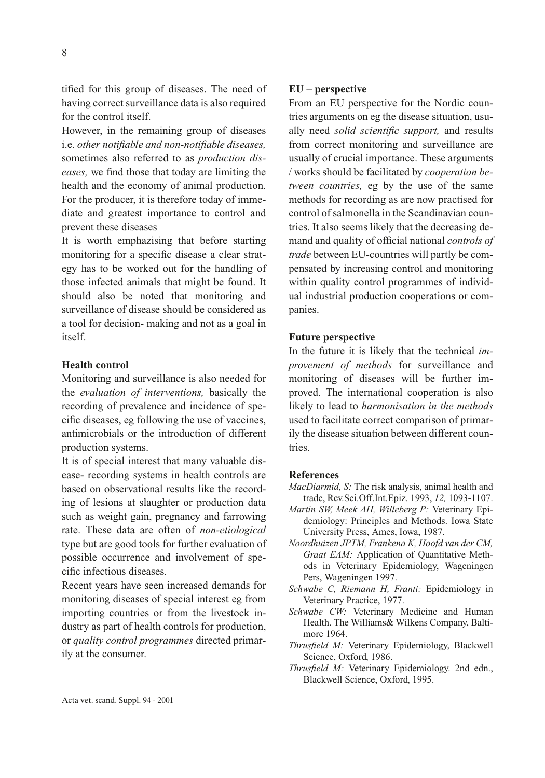tified for this group of diseases. The need of having correct surveillance data is also required for the control itself.

However, in the remaining group of diseases i.e. *other notifiable and non-notifiable diseases,* sometimes also referred to as *production diseases,* we find those that today are limiting the health and the economy of animal production. For the producer, it is therefore today of immediate and greatest importance to control and prevent these diseases

It is worth emphazising that before starting monitoring for a specific disease a clear strategy has to be worked out for the handling of those infected animals that might be found. It should also be noted that monitoring and surveillance of disease should be considered as a tool for decision- making and not as a goal in itself.

# **Health control**

Monitoring and surveillance is also needed for the *evaluation of interventions,* basically the recording of prevalence and incidence of specific diseases, eg following the use of vaccines, antimicrobials or the introduction of different production systems.

It is of special interest that many valuable disease- recording systems in health controls are based on observational results like the recording of lesions at slaughter or production data such as weight gain, pregnancy and farrowing rate. These data are often of *non-etiological* type but are good tools for further evaluation of possible occurrence and involvement of specific infectious diseases.

Recent years have seen increased demands for monitoring diseases of special interest eg from importing countries or from the livestock industry as part of health controls for production, or *quality control programmes* directed primarily at the consumer.

#### **EU – perspective**

From an EU perspective for the Nordic countries arguments on eg the disease situation, usually need *solid scientific support,* and results from correct monitoring and surveillance are usually of crucial importance. These arguments / works should be facilitated by *cooperation between countries,* eg by the use of the same methods for recording as are now practised for control of salmonella in the Scandinavian countries. It also seems likely that the decreasing demand and quality of official national *controls of trade* between EU-countries will partly be compensated by increasing control and monitoring within quality control programmes of individual industrial production cooperations or companies.

## **Future perspective**

In the future it is likely that the technical *improvement of methods* for surveillance and monitoring of diseases will be further improved. The international cooperation is also likely to lead to *harmonisation in the methods* used to facilitate correct comparison of primarily the disease situation between different countries.

#### **References**

- *MacDiarmid, S:* The risk analysis, animal health and trade, Rev.Sci.Off.Int.Epiz. 1993, *12,* 1093-1107.
- *Martin SW, Meek AH, Willeberg P:* Veterinary Epidemiology: Principles and Methods. Iowa State University Press, Ames, Iowa, 1987.
- *Noordhuizen JPTM, Frankena K, Hoofd van der CM, Graat EAM:* Application of Quantitative Methods in Veterinary Epidemiology, Wageningen Pers, Wageningen 1997.
- *Schwabe C, Riemann H, Franti:* Epidemiology in Veterinary Practice, 1977.
- *Schwabe CW:* Veterinary Medicine and Human Health. The Williams& Wilkens Company, Baltimore 1964.
- *Thrusfield M:* Veterinary Epidemiology, Blackwell Science, Oxford, 1986.
- *Thrusfield M:* Veterinary Epidemiology. 2nd edn., Blackwell Science, Oxford, 1995.